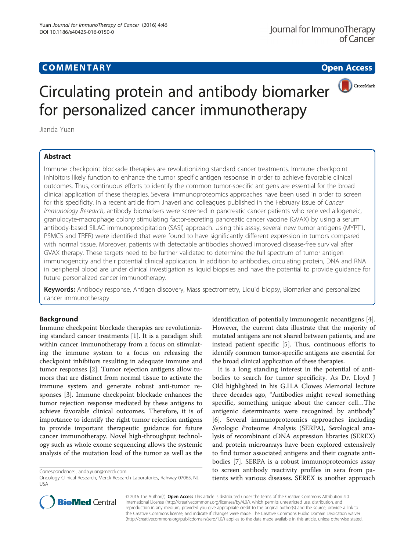

# Circulating protein and antibody biomarker for personalized cancer immunotherapy

Jianda Yuan

## Abstract

Immune checkpoint blockade therapies are revolutionizing standard cancer treatments. Immune checkpoint inhibitors likely function to enhance the tumor specific antigen response in order to achieve favorable clinical outcomes. Thus, continuous efforts to identify the common tumor-specific antigens are essential for the broad clinical application of these therapies. Several immunoproteomics approaches have been used in order to screen for this specificity. In a recent article from Jhaveri and colleagues published in the February issue of Cancer Immunology Research, antibody biomarkers were screened in pancreatic cancer patients who received allogeneic, granulocyte-macrophage colony stimulating factor-secreting pancreatic cancer vaccine (GVAX) by using a serum antibody-based SILAC immunoprecipitation (SASI) approach. Using this assay, several new tumor antigens (MYPT1, PSMC5 and TRFR) were identified that were found to have significantly different expression in tumors compared with normal tissue. Moreover, patients with detectable antibodies showed improved disease-free survival after GVAX therapy. These targets need to be further validated to determine the full spectrum of tumor antigen immunogencity and their potential clinical application. In addition to antibodies, circulating protein, DNA and RNA in peripheral blood are under clinical investigation as liquid biopsies and have the potential to provide guidance for future personalized cancer immunotherapy.

Keywords: Antibody response, Antigen discovery, Mass spectrometry, Liquid biopsy, Biomarker and personalized cancer immunotherapy

## Background

Immune checkpoint blockade therapies are revolutionizing standard cancer treatments [\[1](#page-2-0)]. It is a paradigm shift within cancer immunotherapy from a focus on stimulating the immune system to a focus on releasing the checkpoint inhibitors resulting in adequate immune and tumor responses [[2\]](#page-2-0). Tumor rejection antigens allow tumors that are distinct from normal tissue to activate the immune system and generate robust anti-tumor responses [\[3](#page-2-0)]. Immune checkpoint blockade enhances the tumor rejection response mediated by these antigens to achieve favorable clinical outcomes. Therefore, it is of importance to identify the right tumor rejection antigens to provide important therapeutic guidance for future cancer immunotherapy. Novel high-throughput technology such as whole exome sequencing allows the systemic analysis of the mutation load of the tumor as well as the

Correspondence: [jianda.yuan@merck.com](mailto:jianda.yuan@merck.com)

identification of potentially immunogenic neoantigens [[4](#page-2-0)]. However, the current data illustrate that the majority of mutated antigens are not shared between patients, and are instead patient specific [\[5\]](#page-2-0). Thus, continuous efforts to identify common tumor-specific antigens are essential for the broad clinical application of these therapies.

It is a long standing interest in the potential of antibodies to search for tumor specificity. As Dr. Lloyd J Old highlighted in his G.H.A Clowes Memorial lecture three decades ago, "Antibodies might reveal something specific, something unique about the cancer cell…The antigenic determinants were recognized by antibody" [[6\]](#page-2-0). Several immunoproteomics approaches including Serologic Proteome Analysis (SERPA), Serological analysis of recombinant cDNA expression libraries (SEREX) and protein microarrays have been explored extensively to find tumor associated antigens and their cognate antibodies [[7\]](#page-2-0). SERPA is a robust immunoproteomics assay to screen antibody reactivity profiles in sera from patients with various diseases. SEREX is another approach



© 2016 The Author(s). Open Access This article is distributed under the terms of the Creative Commons Attribution 4.0 International License [\(http://creativecommons.org/licenses/by/4.0/](http://creativecommons.org/licenses/by/4.0/)), which permits unrestricted use, distribution, and reproduction in any medium, provided you give appropriate credit to the original author(s) and the source, provide a link to the Creative Commons license, and indicate if changes were made. The Creative Commons Public Domain Dedication waiver [\(http://creativecommons.org/publicdomain/zero/1.0/](http://creativecommons.org/publicdomain/zero/1.0/)) applies to the data made available in this article, unless otherwise stated.

Oncology Clinical Research, Merck Research Laboratories, Rahway 07065, NJ, USA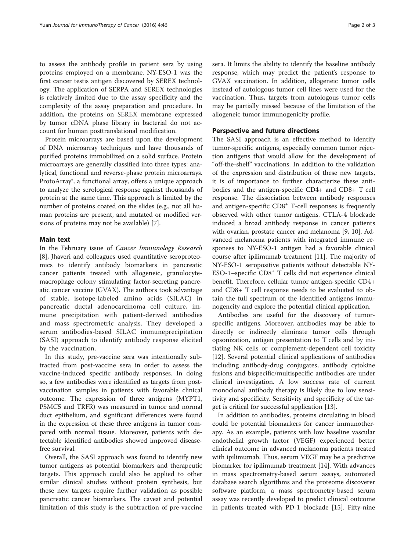to assess the antibody profile in patient sera by using proteins employed on a membrane. NY-ESO-1 was the first cancer testis antigen discovered by SEREX technology. The application of SERPA and SEREX technologies is relatively limited due to the assay specificity and the complexity of the assay preparation and procedure. In addition, the proteins on SEREX membrane expressed by tumor cDNA phase library in bacterial do not account for human posttranslational modification.

Protein microarrays are based upon the development of DNA microarray techniques and have thousands of purified proteins immobilized on a solid surface. Protein microarrays are generally classified into three types: analytical, functional and reverse-phase protein microarrays. ProtoArray®, a functional array, offers a unique approach to analyze the serological response against thousands of protein at the same time. This approach is limited by the number of proteins coated on the slides (e.g., not all human proteins are present, and mutated or modified versions of proteins may not be available) [\[7](#page-2-0)].

## Main text

In the February issue of Cancer Immunology Research [[8\]](#page-2-0), Jhaveri and colleagues used quantitative seroproteomics to identify antibody biomarkers in pancreatic cancer patients treated with allogeneic, granulocytemacrophage colony stimulating factor-secreting pancreatic cancer vaccine (GVAX). The authors took advantage of stable, isotope-labeled amino acids (SILAC) in pancreatic ductal adenocarcinoma cell culture, immune precipitation with patient-derived antibodies and mass spectrometric analysis. They developed a serum antibodies-based SILAC immuneprecipitation (SASI) approach to identify antibody response elicited by the vaccination.

In this study, pre-vaccine sera was intentionally subtracted from post-vaccine sera in order to assess the vaccine-induced specific antibody responses. In doing so, a few antibodies were identified as targets from postvaccination samples in patients with favorable clinical outcome. The expression of three antigens (MYPT1, PSMC5 and TRFR) was measured in tumor and normal duct epithelium, and significant differences were found in the expression of these three antigens in tumor compared with normal tissue. Moreover, patients with detectable identified antibodies showed improved diseasefree survival.

Overall, the SASI approach was found to identify new tumor antigens as potential biomarkers and therapeutic targets. This approach could also be applied to other similar clinical studies without protein synthesis, but these new targets require further validation as possible pancreatic cancer biomarkers. The caveat and potential limitation of this study is the subtraction of pre-vaccine sera. It limits the ability to identify the baseline antibody response, which may predict the patient's response to GVAX vaccination. In addition, allogeneic tumor cells instead of autologous tumor cell lines were used for the vaccination. Thus, targets from autologous tumor cells may be partially missed because of the limitation of the allogeneic tumor immunogenicity profile.

### Perspective and future directions

The SASI approach is an effective method to identify tumor-specific antigens, especially common tumor rejection antigens that would allow for the development of "off-the-shelf" vaccinations. In addition to the validation of the expression and distribution of these new targets, it is of importance to further characterize these antibodies and the antigen-specific CD4+ and CD8+ T cell response. The dissociation between antibody responses and antigen-specific CD8<sup>+</sup> T-cell responses is frequently observed with other tumor antigens. CTLA-4 blockade induced a broad antibody response in cancer patients with ovarian, prostate cancer and melanoma [\[9](#page-2-0), [10](#page-2-0)]. Advanced melanoma patients with integrated immune responses to NY-ESO-1 antigen had a favorable clinical course after ipilimumab treatment [\[11](#page-2-0)]. The majority of NY-ESO-1 seropositive patients without detectable NY-ESO-1–specific CD8<sup>+</sup> T cells did not experience clinical benefit. Therefore, cellular tumor antigen-specific CD4+ and CD8+ T cell response needs to be evaluated to obtain the full spectrum of the identified antigens immunogencity and explore the potential clinical application.

Antibodies are useful for the discovery of tumorspecific antigens. Moreover, antibodies may be able to directly or indirectly eliminate tumor cells through opsonization, antigen presentation to T cells and by initiating NK cells or complement-dependent cell toxicity [[12\]](#page-2-0). Several potential clinical applications of antibodies including antibody-drug conjugates, antibody cytokine fusions and bispecific/multispecific antibodies are under clinical investigation. A low success rate of current monoclonal antibody therapy is likely due to low sensitivity and specificity. Sensitivity and specificity of the target is critical for successful application [\[13\]](#page-2-0).

In addition to antibodies, proteins circulating in blood could be potential biomarkers for cancer immunotherapy. As an example, patients with low baseline vascular endothelial growth factor (VEGF) experienced better clinical outcome in advanced melanoma patients treated with ipilimumab. Thus, serum VEGF may be a predictive biomarker for ipilimumab treatment [\[14\]](#page-2-0). With advances in mass spectrometry-based serum assays, automated database search algorithms and the proteome discoverer software platform, a mass spectrometry-based serum assay was recently developed to predict clinical outcome in patients treated with PD-1 blockade [\[15](#page-2-0)]. Fifty-nine